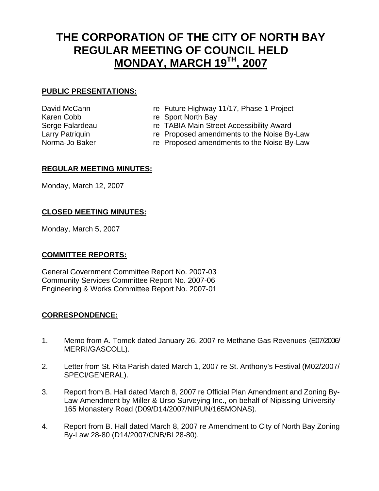# **THE CORPORATION OF THE CITY OF NORTH BAY REGULAR MEETING OF COUNCIL HELD MONDAY, MARCH 19TH, 2007**

# **PUBLIC PRESENTATIONS:**

- 
- David McCann **re Future Highway 11/17, Phase 1 Project**
- Karen Cobb re Sport North Bay
- Serge Falardeau The TABIA Main Street Accessibility Award
- Larry Patriquin **Example 2** re Proposed amendments to the Noise By-Law
- Norma-Jo Baker **re Proposed amendments to the Noise By-Law**

# **REGULAR MEETING MINUTES:**

Monday, March 12, 2007

# **CLOSED MEETING MINUTES:**

Monday, March 5, 2007

# **COMMITTEE REPORTS:**

General Government Committee Report No. 2007-03 Community Services Committee Report No. 2007-06 Engineering & Works Committee Report No. 2007-01

# **CORRESPONDENCE:**

- 1. Memo from A. Tomek dated January 26, 2007 re Methane Gas Revenues (E07/2006/ MERRI/GASCOLL).
- 2. Letter from St. Rita Parish dated March 1, 2007 re St. Anthony's Festival (M02/2007/ SPECI/GENERAL).
- 3. Report from B. Hall dated March 8, 2007 re Official Plan Amendment and Zoning By-Law Amendment by Miller & Urso Surveying Inc., on behalf of Nipissing University - 165 Monastery Road (D09/D14/2007/NIPUN/165MONAS).
- 4. Report from B. Hall dated March 8, 2007 re Amendment to City of North Bay Zoning By-Law 28-80 (D14/2007/CNB/BL28-80).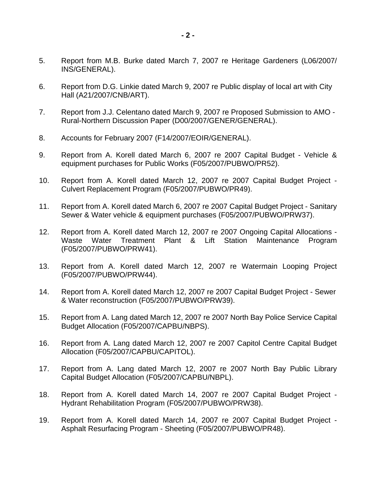- 5. Report from M.B. Burke dated March 7, 2007 re Heritage Gardeners (L06/2007/ INS/GENERAL).
- 6. Report from D.G. Linkie dated March 9, 2007 re Public display of local art with City Hall (A21/2007/CNB/ART).
- 7. Report from J.J. Celentano dated March 9, 2007 re Proposed Submission to AMO Rural-Northern Discussion Paper (D00/2007/GENER/GENERAL).
- 8. Accounts for February 2007 (F14/2007/EOIR/GENERAL).
- 9. Report from A. Korell dated March 6, 2007 re 2007 Capital Budget Vehicle & equipment purchases for Public Works (F05/2007/PUBWO/PR52).
- 10. Report from A. Korell dated March 12, 2007 re 2007 Capital Budget Project Culvert Replacement Program (F05/2007/PUBWO/PR49).
- 11. Report from A. Korell dated March 6, 2007 re 2007 Capital Budget Project Sanitary Sewer & Water vehicle & equipment purchases (F05/2007/PUBWO/PRW37).
- 12. Report from A. Korell dated March 12, 2007 re 2007 Ongoing Capital Allocations Waste Water Treatment Plant & Lift Station Maintenance Program (F05/2007/PUBWO/PRW41).
- 13. Report from A. Korell dated March 12, 2007 re Watermain Looping Project (F05/2007/PUBWO/PRW44).
- 14. Report from A. Korell dated March 12, 2007 re 2007 Capital Budget Project Sewer & Water reconstruction (F05/2007/PUBWO/PRW39).
- 15. Report from A. Lang dated March 12, 2007 re 2007 North Bay Police Service Capital Budget Allocation (F05/2007/CAPBU/NBPS).
- 16. Report from A. Lang dated March 12, 2007 re 2007 Capitol Centre Capital Budget Allocation (F05/2007/CAPBU/CAPITOL).
- 17. Report from A. Lang dated March 12, 2007 re 2007 North Bay Public Library Capital Budget Allocation (F05/2007/CAPBU/NBPL).
- 18. Report from A. Korell dated March 14, 2007 re 2007 Capital Budget Project Hydrant Rehabilitation Program (F05/2007/PUBWO/PRW38).
- 19. Report from A. Korell dated March 14, 2007 re 2007 Capital Budget Project Asphalt Resurfacing Program - Sheeting (F05/2007/PUBWO/PR48).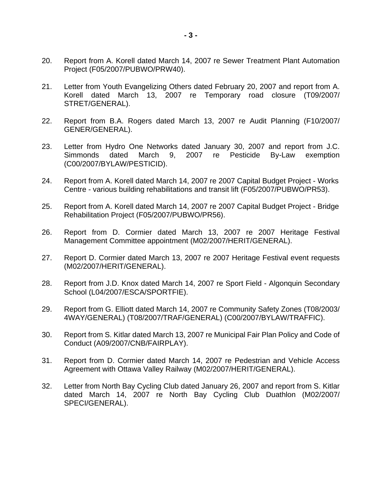- 20. Report from A. Korell dated March 14, 2007 re Sewer Treatment Plant Automation Project (F05/2007/PUBWO/PRW40).
- 21. Letter from Youth Evangelizing Others dated February 20, 2007 and report from A. Korell dated March 13, 2007 re Temporary road closure (T09/2007/ STRET/GENERAL).
- 22. Report from B.A. Rogers dated March 13, 2007 re Audit Planning (F10/2007/ GENER/GENERAL).
- 23. Letter from Hydro One Networks dated January 30, 2007 and report from J.C. Simmonds dated March 9, 2007 re Pesticide By-Law exemption (C00/2007/BYLAW/PESTICID).
- 24. Report from A. Korell dated March 14, 2007 re 2007 Capital Budget Project Works Centre - various building rehabilitations and transit lift (F05/2007/PUBWO/PR53).
- 25. Report from A. Korell dated March 14, 2007 re 2007 Capital Budget Project Bridge Rehabilitation Project (F05/2007/PUBWO/PR56).
- 26. Report from D. Cormier dated March 13, 2007 re 2007 Heritage Festival Management Committee appointment (M02/2007/HERIT/GENERAL).
- 27. Report D. Cormier dated March 13, 2007 re 2007 Heritage Festival event requests (M02/2007/HERIT/GENERAL).
- 28. Report from J.D. Knox dated March 14, 2007 re Sport Field Algonquin Secondary School (L04/2007/ESCA/SPORTFIE).
- 29. Report from G. Elliott dated March 14, 2007 re Community Safety Zones (T08/2003/ 4WAY/GENERAL) (T08/2007/TRAF/GENERAL) (C00/2007/BYLAW/TRAFFIC).
- 30. Report from S. Kitlar dated March 13, 2007 re Municipal Fair Plan Policy and Code of Conduct (A09/2007/CNB/FAIRPLAY).
- 31. Report from D. Cormier dated March 14, 2007 re Pedestrian and Vehicle Access Agreement with Ottawa Valley Railway (M02/2007/HERIT/GENERAL).
- 32. Letter from North Bay Cycling Club dated January 26, 2007 and report from S. Kitlar dated March 14, 2007 re North Bay Cycling Club Duathlon (M02/2007/ SPECI/GENERAL).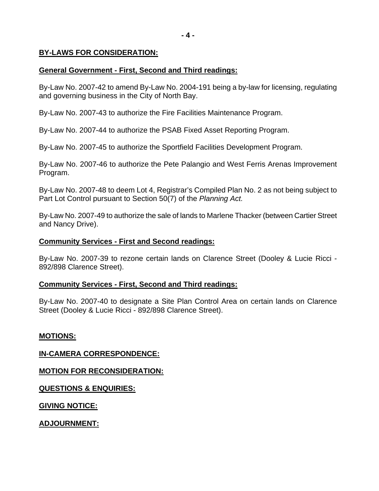# **BY-LAWS FOR CONSIDERATION:**

# **General Government - First, Second and Third readings:**

By-Law No. 2007-42 to amend By-Law No. 2004-191 being a by-law for licensing, regulating and governing business in the City of North Bay.

By-Law No. 2007-43 to authorize the Fire Facilities Maintenance Program.

By-Law No. 2007-44 to authorize the PSAB Fixed Asset Reporting Program.

By-Law No. 2007-45 to authorize the Sportfield Facilities Development Program.

By-Law No. 2007-46 to authorize the Pete Palangio and West Ferris Arenas Improvement Program.

By-Law No. 2007-48 to deem Lot 4, Registrar's Compiled Plan No. 2 as not being subject to Part Lot Control pursuant to Section 50(7) of the *Planning Act.* 

By-Law No. 2007-49 to authorize the sale of lands to Marlene Thacker (between Cartier Street and Nancy Drive).

# **Community Services - First and Second readings:**

By-Law No. 2007-39 to rezone certain lands on Clarence Street (Dooley & Lucie Ricci - 892/898 Clarence Street).

# **Community Services - First, Second and Third readings:**

By-Law No. 2007-40 to designate a Site Plan Control Area on certain lands on Clarence Street (Dooley & Lucie Ricci - 892/898 Clarence Street).

# **MOTIONS:**

**IN-CAMERA CORRESPONDENCE:**

**MOTION FOR RECONSIDERATION:**

**QUESTIONS & ENQUIRIES:**

**GIVING NOTICE:**

**ADJOURNMENT:**